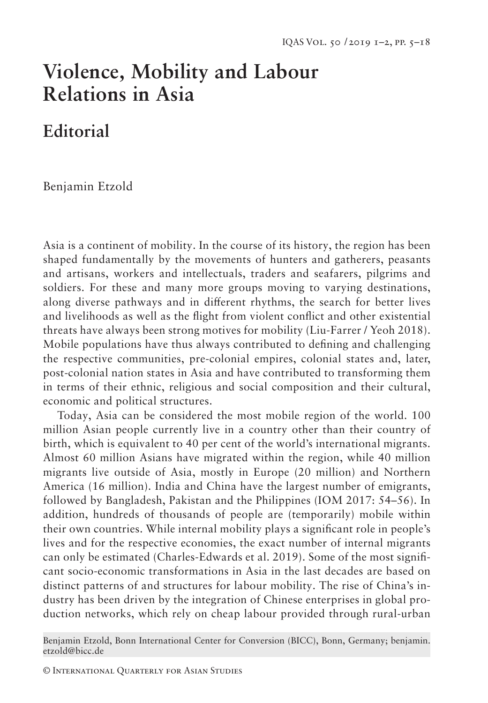# **Violence, Mobility and Labour Relations in Asia**

## **Editorial**

Benjamin Etzold

Asia is a continent of mobility. In the course of its history, the region has been shaped fundamentally by the movements of hunters and gatherers, peasants and artisans, workers and intellectuals, traders and seafarers, pilgrims and soldiers. For these and many more groups moving to varying destinations, along diverse pathways and in different rhythms, the search for better lives and livelihoods as well as the flight from violent conflict and other existential threats have always been strong motives for mobility (Liu-Farrer / Yeoh 2018). Mobile populations have thus always contributed to defining and challenging the respective communities, pre-colonial empires, colonial states and, later, post-colonial nation states in Asia and have contributed to transforming them in terms of their ethnic, religious and social composition and their cultural, economic and political structures.

Today, Asia can be considered the most mobile region of the world. 100 million Asian people currently live in a country other than their country of birth, which is equivalent to 40 per cent of the world's international migrants. Almost 60 million Asians have migrated within the region, while 40 million migrants live outside of Asia, mostly in Europe (20 million) and Northern America (16 million). India and China have the largest number of emigrants, followed by Bangladesh, Pakistan and the Philippines (IOM 2017: 54–56). In addition, hundreds of thousands of people are (temporarily) mobile within their own countries. While internal mobility plays a significant role in people's lives and for the respective economies, the exact number of internal migrants can only be estimated (Charles-Edwards et al. 2019). Some of the most significant socio-economic transformations in Asia in the last decades are based on distinct patterns of and structures for labour mobility. The rise of China's industry has been driven by the integration of Chinese enterprises in global production networks, which rely on cheap labour provided through rural-urban

Benjamin Etzold, Bonn International Center for Conversion (BICC), Bonn, Germany; benjamin. etzold@bicc.de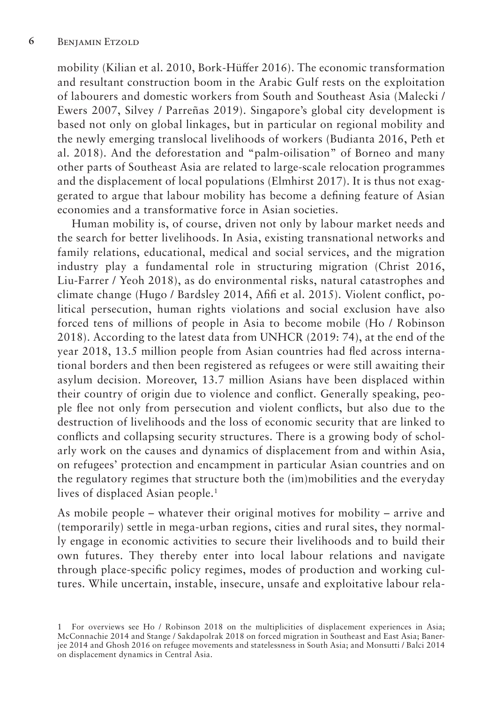mobility (Kilian et al. 2010, Bork-Hüffer 2016). The economic transformation and resultant construction boom in the Arabic Gulf rests on the exploitation of labourers and domestic workers from South and Southeast Asia (Malecki / Ewers 2007, Silvey / Parreñas 2019). Singapore's global city development is based not only on global linkages, but in particular on regional mobility and the newly emerging translocal livelihoods of workers (Budianta 2016, Peth et al. 2018). And the deforestation and "palm-oilisation" of Borneo and many other parts of Southeast Asia are related to large-scale relocation programmes and the displacement of local populations (Elmhirst 2017). It is thus not exaggerated to argue that labour mobility has become a defining feature of Asian economies and a transformative force in Asian societies.

Human mobility is, of course, driven not only by labour market needs and the search for better livelihoods. In Asia, existing transnational networks and family relations, educational, medical and social services, and the migration industry play a fundamental role in structuring migration (Christ 2016, Liu-Farrer / Yeoh 2018), as do environmental risks, natural catastrophes and climate change (Hugo / Bardsley 2014, Afifi et al. 2015). Violent conflict, political persecution, human rights violations and social exclusion have also forced tens of millions of people in Asia to become mobile (Ho / Robinson 2018). According to the latest data from UNHCR (2019: 74), at the end of the year 2018, 13.5 million people from Asian countries had fled across international borders and then been registered as refugees or were still awaiting their asylum decision. Moreover, 13.7 million Asians have been displaced within their country of origin due to violence and conflict. Generally speaking, people flee not only from persecution and violent conflicts, but also due to the destruction of livelihoods and the loss of economic security that are linked to conflicts and collapsing security structures. There is a growing body of scholarly work on the causes and dynamics of displacement from and within Asia, on refugees' protection and encampment in particular Asian countries and on the regulatory regimes that structure both the (im)mobilities and the everyday lives of displaced Asian people.<sup>1</sup>

As mobile people – whatever their original motives for mobility – arrive and (temporarily) settle in mega-urban regions, cities and rural sites, they normally engage in economic activities to secure their livelihoods and to build their own futures. They thereby enter into local labour relations and navigate through place-specific policy regimes, modes of production and working cultures. While uncertain, instable, insecure, unsafe and exploitative labour rela-

<sup>1</sup> For overviews see Ho / Robinson 2018 on the multiplicities of displacement experiences in Asia; McConnachie 2014 and Stange / Sakdapolrak 2018 on forced migration in Southeast and East Asia; Banerjee 2014 and Ghosh 2016 on refugee movements and statelessness in South Asia; and Monsutti / Balci 2014 on displacement dynamics in Central Asia.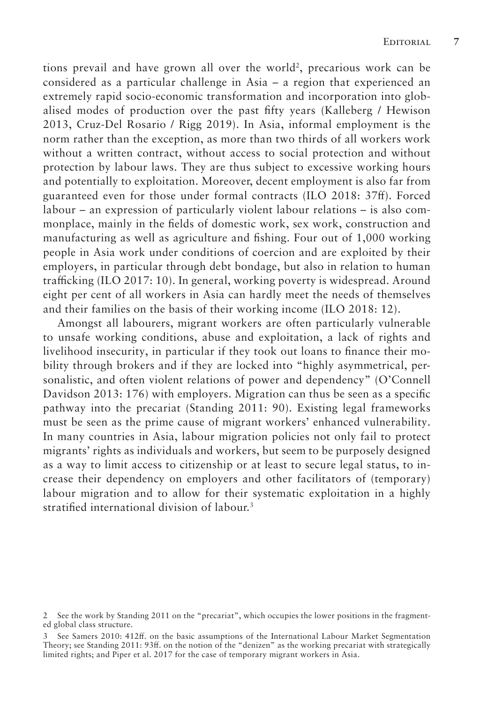tions prevail and have grown all over the world<sup>2</sup>, precarious work can be considered as a particular challenge in Asia – a region that experienced an extremely rapid socio-economic transformation and incorporation into globalised modes of production over the past fifty years (Kalleberg / Hewison 2013, Cruz-Del Rosario / Rigg 2019). In Asia, informal employment is the norm rather than the exception, as more than two thirds of all workers work without a written contract, without access to social protection and without protection by labour laws. They are thus subject to excessive working hours and potentially to exploitation. Moreover, decent employment is also far from guaranteed even for those under formal contracts (ILO 2018: 37ff). Forced labour – an expression of particularly violent labour relations – is also commonplace, mainly in the fields of domestic work, sex work, construction and manufacturing as well as agriculture and fishing. Four out of 1,000 working people in Asia work under conditions of coercion and are exploited by their employers, in particular through debt bondage, but also in relation to human trafficking (ILO 2017: 10). In general, working poverty is widespread. Around eight per cent of all workers in Asia can hardly meet the needs of themselves and their families on the basis of their working income (ILO 2018: 12).

Amongst all labourers, migrant workers are often particularly vulnerable to unsafe working conditions, abuse and exploitation, a lack of rights and livelihood insecurity, in particular if they took out loans to finance their mobility through brokers and if they are locked into "highly asymmetrical, personalistic, and often violent relations of power and dependency" (O'Connell Davidson 2013: 176) with employers. Migration can thus be seen as a specific pathway into the precariat (Standing 2011: 90). Existing legal frameworks must be seen as the prime cause of migrant workers' enhanced vulnerability. In many countries in Asia, labour migration policies not only fail to protect migrants' rights as individuals and workers, but seem to be purposely designed as a way to limit access to citizenship or at least to secure legal status, to increase their dependency on employers and other facilitators of (temporary) labour migration and to allow for their systematic exploitation in a highly stratified international division of labour.3

<sup>2</sup> See the work by Standing 2011 on the "precariat", which occupies the lower positions in the fragmented global class structure.

<sup>3</sup> See Samers 2010: 412ff. on the basic assumptions of the International Labour Market Segmentation Theory; see Standing 2011: 93ff. on the notion of the "denizen" as the working precariat with strategically limited rights; and Piper et al. 2017 for the case of temporary migrant workers in Asia.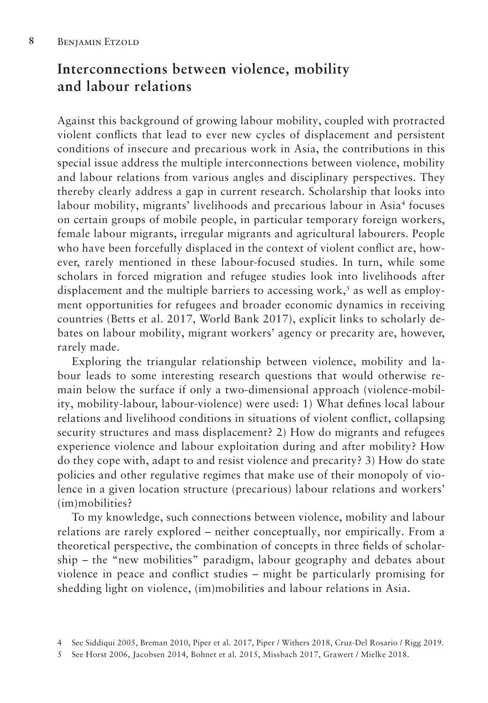## **Interconnections between violence, mobility and labour relations**

Against this background of growing labour mobility, coupled with protracted violent conflicts that lead to ever new cycles of displacement and persistent conditions of insecure and precarious work in Asia, the contributions in this special issue address the multiple interconnections between violence, mobility and labour relations from various angles and disciplinary perspectives. They thereby clearly address a gap in current research. Scholarship that looks into labour mobility, migrants' livelihoods and precarious labour in Asia<sup>4</sup> focuses on certain groups of mobile people, in particular temporary foreign workers, female labour migrants, irregular migrants and agricultural labourers. People who have been forcefully displaced in the context of violent conflict are, however, rarely mentioned in these labour-focused studies. In turn, while some scholars in forced migration and refugee studies look into livelihoods after displacement and the multiple barriers to accessing work,<sup>5</sup> as well as employment opportunities for refugees and broader economic dynamics in receiving countries (Betts et al. 2017, World Bank 2017), explicit links to scholarly debates on labour mobility, migrant workers' agency or precarity are, however, rarely made.

Exploring the triangular relationship between violence, mobility and labour leads to some interesting research questions that would otherwise remain below the surface if only a two-dimensional approach (violence-mobility, mobility-labour, labour-violence) were used: 1) What defines local labour relations and livelihood conditions in situations of violent conflict, collapsing security structures and mass displacement? 2) How do migrants and refugees experience violence and labour exploitation during and after mobility? How do they cope with, adapt to and resist violence and precarity? 3) How do state policies and other regulative regimes that make use of their monopoly of violence in a given location structure (precarious) labour relations and workers' (im)mobilities?

To my knowledge, such connections between violence, mobility and labour relations are rarely explored – neither conceptually, nor empirically. From a theoretical perspective, the combination of concepts in three fields of scholarship – the "new mobilities" paradigm, labour geography and debates about violence in peace and conflict studies – might be particularly promising for shedding light on violence, (im)mobilities and labour relations in Asia.

<sup>4</sup> See Siddiqui 2005, Breman 2010, Piper et al. 2017, Piper / Withers 2018, Cruz-Del Rosario / Rigg 2019.

<sup>5</sup> See Horst 2006, Jacobsen 2014, Bohnet et al. 2015, Missbach 2017, Grawert / Mielke 2018.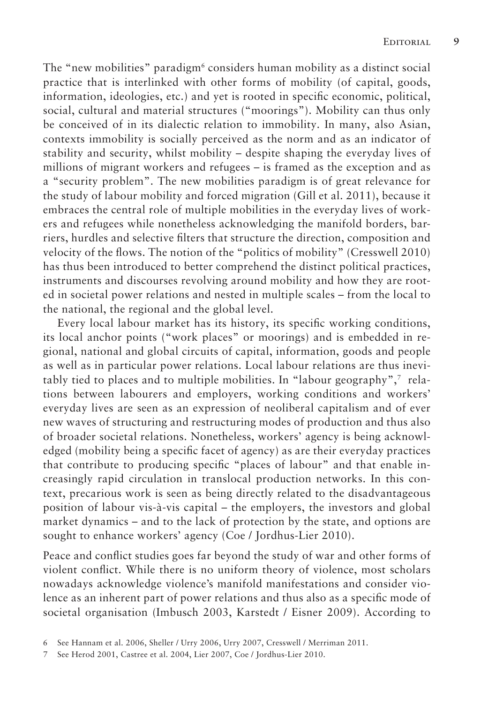The "new mobilities" paradigm<sup>6</sup> considers human mobility as a distinct social practice that is interlinked with other forms of mobility (of capital, goods, information, ideologies, etc.) and yet is rooted in specific economic, political, social, cultural and material structures ("moorings"). Mobility can thus only be conceived of in its dialectic relation to immobility. In many, also Asian, contexts immobility is socially perceived as the norm and as an indicator of stability and security, whilst mobility – despite shaping the everyday lives of millions of migrant workers and refugees – is framed as the exception and as a "security problem". The new mobilities paradigm is of great relevance for the study of labour mobility and forced migration (Gill et al. 2011), because it embraces the central role of multiple mobilities in the everyday lives of workers and refugees while nonetheless acknowledging the manifold borders, barriers, hurdles and selective filters that structure the direction, composition and velocity of the flows. The notion of the "politics of mobility" (Cresswell 2010) has thus been introduced to better comprehend the distinct political practices, instruments and discourses revolving around mobility and how they are rooted in societal power relations and nested in multiple scales – from the local to the national, the regional and the global level.

Every local labour market has its history, its specific working conditions, its local anchor points ("work places" or moorings) and is embedded in regional, national and global circuits of capital, information, goods and people as well as in particular power relations. Local labour relations are thus inevitably tied to places and to multiple mobilities. In "labour geography",7 relations between labourers and employers, working conditions and workers' everyday lives are seen as an expression of neoliberal capitalism and of ever new waves of structuring and restructuring modes of production and thus also of broader societal relations. Nonetheless, workers' agency is being acknowledged (mobility being a specific facet of agency) as are their everyday practices that contribute to producing specific "places of labour" and that enable increasingly rapid circulation in translocal production networks. In this context, precarious work is seen as being directly related to the disadvantageous position of labour vis-à-vis capital – the employers, the investors and global market dynamics – and to the lack of protection by the state, and options are sought to enhance workers' agency (Coe / Jordhus-Lier 2010).

Peace and conflict studies goes far beyond the study of war and other forms of violent conflict. While there is no uniform theory of violence, most scholars nowadays acknowledge violence's manifold manifestations and consider violence as an inherent part of power relations and thus also as a specific mode of societal organisation (Imbusch 2003, Karstedt / Eisner 2009). According to

<sup>6</sup> See Hannam et al. 2006, Sheller / Urry 2006, Urry 2007, Cresswell / Merriman 2011.

<sup>7</sup> See Herod 2001, Castree et al. 2004, Lier 2007, Coe / Jordhus-Lier 2010.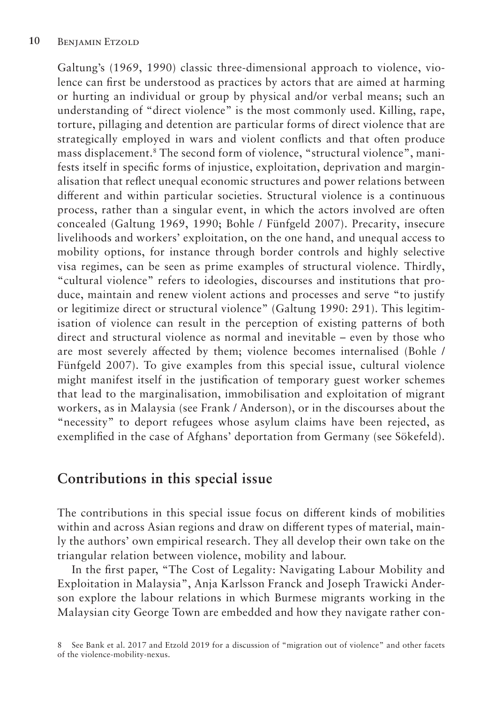Galtung's (1969, 1990) classic three-dimensional approach to violence, violence can first be understood as practices by actors that are aimed at harming or hurting an individual or group by physical and/or verbal means; such an understanding of "direct violence" is the most commonly used. Killing, rape, torture, pillaging and detention are particular forms of direct violence that are strategically employed in wars and violent conflicts and that often produce mass displacement.8 The second form of violence, "structural violence", manifests itself in specific forms of injustice, exploitation, deprivation and marginalisation that reflect unequal economic structures and power relations between different and within particular societies. Structural violence is a continuous process, rather than a singular event, in which the actors involved are often concealed (Galtung 1969, 1990; Bohle / Fünfgeld 2007). Precarity, insecure livelihoods and workers' exploitation, on the one hand, and unequal access to mobility options, for instance through border controls and highly selective visa regimes, can be seen as prime examples of structural violence. Thirdly, "cultural violence" refers to ideologies, discourses and institutions that produce, maintain and renew violent actions and processes and serve "to justify or legitimize direct or structural violence" (Galtung 1990: 291). This legitimisation of violence can result in the perception of existing patterns of both direct and structural violence as normal and inevitable – even by those who are most severely affected by them; violence becomes internalised (Bohle / Fünfgeld 2007). To give examples from this special issue, cultural violence might manifest itself in the justification of temporary guest worker schemes that lead to the marginalisation, immobilisation and exploitation of migrant workers, as in Malaysia (see Frank / Anderson), or in the discourses about the "necessity" to deport refugees whose asylum claims have been rejected, as exemplified in the case of Afghans' deportation from Germany (see Sökefeld).

#### **Contributions in this special issue**

The contributions in this special issue focus on different kinds of mobilities within and across Asian regions and draw on different types of material, mainly the authors' own empirical research. They all develop their own take on the triangular relation between violence, mobility and labour.

In the first paper, "The Cost of Legality: Navigating Labour Mobility and Exploitation in Malaysia", Anja Karlsson Franck and Joseph Trawicki Anderson explore the labour relations in which Burmese migrants working in the Malaysian city George Town are embedded and how they navigate rather con-

<sup>8</sup> See Bank et al. 2017 and Etzold 2019 for a discussion of "migration out of violence" and other facets of the violence-mobility-nexus.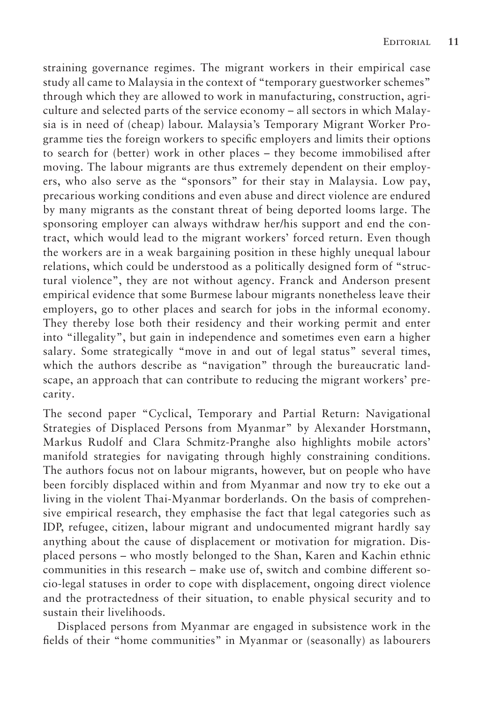straining governance regimes. The migrant workers in their empirical case study all came to Malaysia in the context of "temporary guestworker schemes" through which they are allowed to work in manufacturing, construction, agriculture and selected parts of the service economy – all sectors in which Malaysia is in need of (cheap) labour. Malaysia's Temporary Migrant Worker Programme ties the foreign workers to specific employers and limits their options to search for (better) work in other places – they become immobilised after moving. The labour migrants are thus extremely dependent on their employers, who also serve as the "sponsors" for their stay in Malaysia. Low pay, precarious working conditions and even abuse and direct violence are endured by many migrants as the constant threat of being deported looms large. The sponsoring employer can always withdraw her/his support and end the contract, which would lead to the migrant workers' forced return. Even though the workers are in a weak bargaining position in these highly unequal labour relations, which could be understood as a politically designed form of "structural violence", they are not without agency. Franck and Anderson present empirical evidence that some Burmese labour migrants nonetheless leave their employers, go to other places and search for jobs in the informal economy. They thereby lose both their residency and their working permit and enter into "illegality", but gain in independence and sometimes even earn a higher salary. Some strategically "move in and out of legal status" several times, which the authors describe as "navigation" through the bureaucratic landscape, an approach that can contribute to reducing the migrant workers' precarity.

The second paper "Cyclical, Temporary and Partial Return: Navigational Strategies of Displaced Persons from Myanmar" by Alexander Horstmann, Markus Rudolf and Clara Schmitz-Pranghe also highlights mobile actors' manifold strategies for navigating through highly constraining conditions. The authors focus not on labour migrants, however, but on people who have been forcibly displaced within and from Myanmar and now try to eke out a living in the violent Thai-Myanmar borderlands. On the basis of comprehensive empirical research, they emphasise the fact that legal categories such as IDP, refugee, citizen, labour migrant and undocumented migrant hardly say anything about the cause of displacement or motivation for migration. Displaced persons – who mostly belonged to the Shan, Karen and Kachin ethnic communities in this research – make use of, switch and combine different socio-legal statuses in order to cope with displacement, ongoing direct violence and the protractedness of their situation, to enable physical security and to sustain their livelihoods.

Displaced persons from Myanmar are engaged in subsistence work in the fields of their "home communities" in Myanmar or (seasonally) as labourers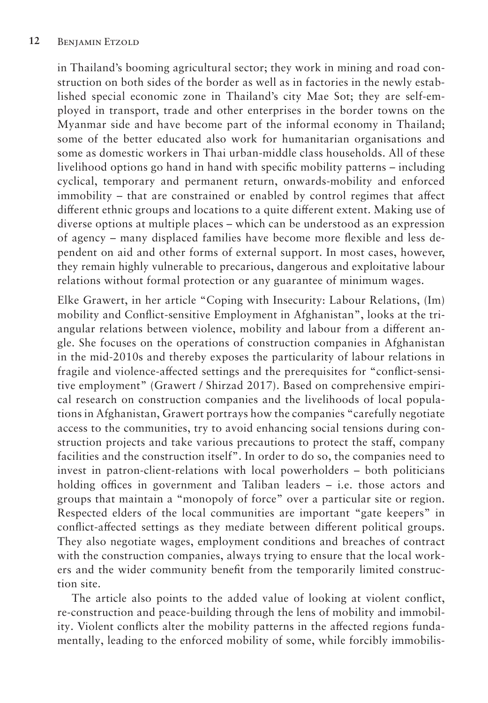in Thailand's booming agricultural sector; they work in mining and road construction on both sides of the border as well as in factories in the newly established special economic zone in Thailand's city Mae Sot; they are self-employed in transport, trade and other enterprises in the border towns on the Myanmar side and have become part of the informal economy in Thailand; some of the better educated also work for humanitarian organisations and some as domestic workers in Thai urban-middle class households. All of these livelihood options go hand in hand with specific mobility patterns – including cyclical, temporary and permanent return, onwards-mobility and enforced immobility – that are constrained or enabled by control regimes that affect different ethnic groups and locations to a quite different extent. Making use of diverse options at multiple places – which can be understood as an expression of agency – many displaced families have become more flexible and less dependent on aid and other forms of external support. In most cases, however, they remain highly vulnerable to precarious, dangerous and exploitative labour relations without formal protection or any guarantee of minimum wages.

Elke Grawert, in her article "Coping with Insecurity: Labour Relations, (Im) mobility and Conflict-sensitive Employment in Afghanistan", looks at the triangular relations between violence, mobility and labour from a different angle. She focuses on the operations of construction companies in Afghanistan in the mid-2010s and thereby exposes the particularity of labour relations in fragile and violence-affected settings and the prerequisites for "conflict-sensitive employment" (Grawert / Shirzad 2017). Based on comprehensive empirical research on construction companies and the livelihoods of local populations in Afghanistan, Grawert portrays how the companies "carefully negotiate access to the communities, try to avoid enhancing social tensions during construction projects and take various precautions to protect the staff, company facilities and the construction itself". In order to do so, the companies need to invest in patron-client-relations with local powerholders – both politicians holding offices in government and Taliban leaders – i.e. those actors and groups that maintain a "monopoly of force" over a particular site or region. Respected elders of the local communities are important "gate keepers" in conflict-affected settings as they mediate between different political groups. They also negotiate wages, employment conditions and breaches of contract with the construction companies, always trying to ensure that the local workers and the wider community benefit from the temporarily limited construction site.

The article also points to the added value of looking at violent conflict, re-construction and peace-building through the lens of mobility and immobility. Violent conflicts alter the mobility patterns in the affected regions fundamentally, leading to the enforced mobility of some, while forcibly immobilis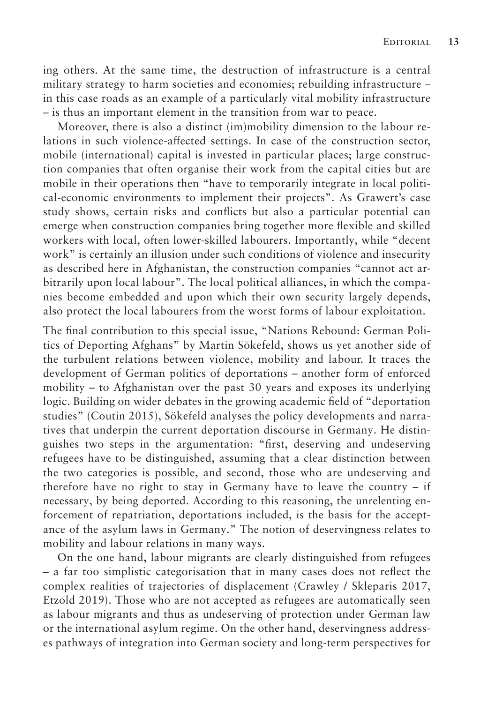ing others. At the same time, the destruction of infrastructure is a central military strategy to harm societies and economies; rebuilding infrastructure – in this case roads as an example of a particularly vital mobility infrastructure – is thus an important element in the transition from war to peace.

Moreover, there is also a distinct (im)mobility dimension to the labour relations in such violence-affected settings. In case of the construction sector, mobile (international) capital is invested in particular places; large construction companies that often organise their work from the capital cities but are mobile in their operations then "have to temporarily integrate in local political-economic environments to implement their projects". As Grawert's case study shows, certain risks and conflicts but also a particular potential can emerge when construction companies bring together more flexible and skilled workers with local, often lower-skilled labourers. Importantly, while "decent work" is certainly an illusion under such conditions of violence and insecurity as described here in Afghanistan, the construction companies "cannot act arbitrarily upon local labour". The local political alliances, in which the companies become embedded and upon which their own security largely depends, also protect the local labourers from the worst forms of labour exploitation.

The final contribution to this special issue, "Nations Rebound: German Politics of Deporting Afghans" by Martin Sökefeld, shows us yet another side of the turbulent relations between violence, mobility and labour. It traces the development of German politics of deportations – another form of enforced mobility – to Afghanistan over the past 30 years and exposes its underlying logic. Building on wider debates in the growing academic field of "deportation studies" (Coutin 2015), Sökefeld analyses the policy developments and narratives that underpin the current deportation discourse in Germany. He distinguishes two steps in the argumentation: "first, deserving and undeserving refugees have to be distinguished, assuming that a clear distinction between the two categories is possible, and second, those who are undeserving and therefore have no right to stay in Germany have to leave the country – if necessary, by being deported. According to this reasoning, the unrelenting enforcement of repatriation, deportations included, is the basis for the acceptance of the asylum laws in Germany." The notion of deservingness relates to mobility and labour relations in many ways.

On the one hand, labour migrants are clearly distinguished from refugees – a far too simplistic categorisation that in many cases does not reflect the complex realities of trajectories of displacement (Crawley / Skleparis 2017, Etzold 2019). Those who are not accepted as refugees are automatically seen as labour migrants and thus as undeserving of protection under German law or the international asylum regime. On the other hand, deservingness addresses pathways of integration into German society and long-term perspectives for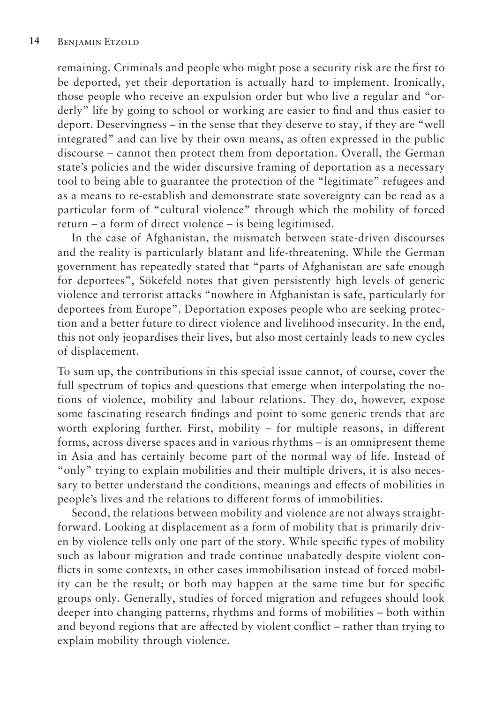remaining. Criminals and people who might pose a security risk are the first to be deported, yet their deportation is actually hard to implement. Ironically, those people who receive an expulsion order but who live a regular and "orderly" life by going to school or working are easier to find and thus easier to deport. Deservingness – in the sense that they deserve to stay, if they are "well integrated" and can live by their own means, as often expressed in the public discourse – cannot then protect them from deportation. Overall, the German state's policies and the wider discursive framing of deportation as a necessary tool to being able to guarantee the protection of the "legitimate" refugees and as a means to re-establish and demonstrate state sovereignty can be read as a particular form of "cultural violence" through which the mobility of forced return – a form of direct violence – is being legitimised.

In the case of Afghanistan, the mismatch between state-driven discourses and the reality is particularly blatant and life-threatening. While the German government has repeatedly stated that "parts of Afghanistan are safe enough for deportees", Sökefeld notes that given persistently high levels of generic violence and terrorist attacks "nowhere in Afghanistan is safe, particularly for deportees from Europe". Deportation exposes people who are seeking protection and a better future to direct violence and livelihood insecurity. In the end, this not only jeopardises their lives, but also most certainly leads to new cycles of displacement.

To sum up, the contributions in this special issue cannot, of course, cover the full spectrum of topics and questions that emerge when interpolating the notions of violence, mobility and labour relations. They do, however, expose some fascinating research findings and point to some generic trends that are worth exploring further. First, mobility – for multiple reasons, in different forms, across diverse spaces and in various rhythms – is an omnipresent theme in Asia and has certainly become part of the normal way of life. Instead of "only" trying to explain mobilities and their multiple drivers, it is also necessary to better understand the conditions, meanings and effects of mobilities in people's lives and the relations to different forms of immobilities.

Second, the relations between mobility and violence are not always straightforward. Looking at displacement as a form of mobility that is primarily driven by violence tells only one part of the story. While specific types of mobility such as labour migration and trade continue unabatedly despite violent conflicts in some contexts, in other cases immobilisation instead of forced mobility can be the result; or both may happen at the same time but for specific groups only. Generally, studies of forced migration and refugees should look deeper into changing patterns, rhythms and forms of mobilities – both within and beyond regions that are affected by violent conflict – rather than trying to explain mobility through violence.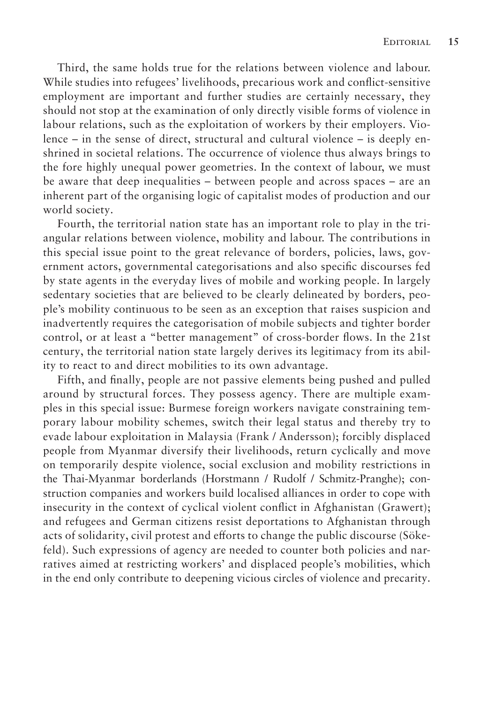Third, the same holds true for the relations between violence and labour. While studies into refugees' livelihoods, precarious work and conflict-sensitive employment are important and further studies are certainly necessary, they should not stop at the examination of only directly visible forms of violence in labour relations, such as the exploitation of workers by their employers. Violence – in the sense of direct, structural and cultural violence – is deeply enshrined in societal relations. The occurrence of violence thus always brings to the fore highly unequal power geometries. In the context of labour, we must be aware that deep inequalities – between people and across spaces – are an inherent part of the organising logic of capitalist modes of production and our world society.

Fourth, the territorial nation state has an important role to play in the triangular relations between violence, mobility and labour. The contributions in this special issue point to the great relevance of borders, policies, laws, government actors, governmental categorisations and also specific discourses fed by state agents in the everyday lives of mobile and working people. In largely sedentary societies that are believed to be clearly delineated by borders, people's mobility continuous to be seen as an exception that raises suspicion and inadvertently requires the categorisation of mobile subjects and tighter border control, or at least a "better management" of cross-border flows. In the 21st century, the territorial nation state largely derives its legitimacy from its ability to react to and direct mobilities to its own advantage.

Fifth, and finally, people are not passive elements being pushed and pulled around by structural forces. They possess agency. There are multiple examples in this special issue: Burmese foreign workers navigate constraining temporary labour mobility schemes, switch their legal status and thereby try to evade labour exploitation in Malaysia (Frank / Andersson); forcibly displaced people from Myanmar diversify their livelihoods, return cyclically and move on temporarily despite violence, social exclusion and mobility restrictions in the Thai-Myanmar borderlands (Horstmann / Rudolf / Schmitz-Pranghe); construction companies and workers build localised alliances in order to cope with insecurity in the context of cyclical violent conflict in Afghanistan (Grawert); and refugees and German citizens resist deportations to Afghanistan through acts of solidarity, civil protest and efforts to change the public discourse (Sökefeld). Such expressions of agency are needed to counter both policies and narratives aimed at restricting workers' and displaced people's mobilities, which in the end only contribute to deepening vicious circles of violence and precarity.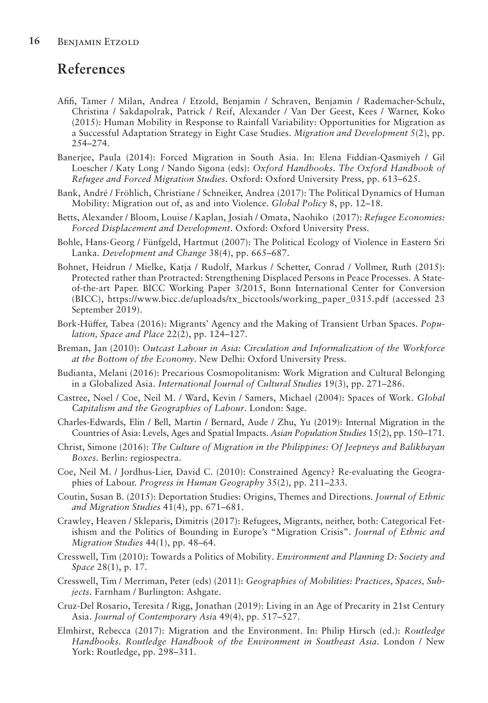### **References**

- Afifi, Tamer / Milan, Andrea / Etzold, Benjamin / Schraven, Benjamin / Rademacher-Schulz, Christina / Sakdapolrak, Patrick / Reif, Alexander / Van Der Geest, Kees / Warner, Koko (2015): Human Mobility in Response to Rainfall Variability: Opportunities for Migration as a Successful Adaptation Strategy in Eight Case Studies. *Migration and Development* 5(2), pp. 254–274.
- Banerjee, Paula (2014): Forced Migration in South Asia. In: Elena Fiddian-Qasmiyeh / Gil Loescher / Katy Long / Nando Sigona (eds): *Oxford Handbooks. The Oxford Handbook of Refugee and Forced Migration Studies*. Oxford: Oxford University Press, pp. 613–625.
- Bank, André / Fröhlich, Christiane / Schneiker, Andrea (2017): The Political Dynamics of Human Mobility: Migration out of, as and into Violence. *Global Policy* 8, pp. 12–18.
- Betts, Alexander / Bloom, Louise / Kaplan, Josiah / Omata, Naohiko (2017): *Refugee Economies: Forced Displacement and Development*. Oxford: Oxford University Press.
- Bohle, Hans-Georg / Fünfgeld, Hartmut (2007): The Political Ecology of Violence in Eastern Sri Lanka. *Development and Change* 38(4), pp. 665–687.
- Bohnet, Heidrun / Mielke, Katja / Rudolf, Markus / Schetter, Conrad / Vollmer, Ruth (2015): Protected rather than Protracted: Strengthening Displaced Persons in Peace Processes. A Stateof-the-art Paper. BICC Working Paper 3/2015, Bonn International Center for Conversion (BICC), https://www.bicc.de/uploads/tx\_bicctools/working\_paper\_0315.pdf (accessed 23 September 2019).
- Bork-Hüffer, Tabea (2016): Migrants' Agency and the Making of Transient Urban Spaces. *Population, Space and Place* 22(2), pp. 124–127.
- Breman, Jan (2010): *Outcast Labour in Asia: Circulation and Informalization of the Workforce at the Bottom of the Economy*. New Delhi: Oxford University Press.
- Budianta, Melani (2016): Precarious Cosmopolitanism: Work Migration and Cultural Belonging in a Globalized Asia. *International Journal of Cultural Studies* 19(3), pp. 271–286.
- Castree, Noel / Coe, Neil M. / Ward, Kevin / Samers, Michael (2004): Spaces of Work. *Global Capitalism and the Geographies of Labour*. London: Sage.
- Charles-Edwards, Elin / Bell, Martin / Bernard, Aude / Zhu, Yu (2019): Internal Migration in the Countries of Asia: Levels, Ages and Spatial Impacts. *Asian Population Studies* 15(2), pp. 150–171.
- Christ, Simone (2016): *The Culture of Migration in the Philippines: Of Jeepneys and Balikbayan Boxes*. Berlin: regiospectra.
- Coe, Neil M. / Jordhus-Lier, David C. (2010): Constrained Agency? Re-evaluating the Geographies of Labour. *Progress in Human Geography* 35(2), pp. 211–233.
- Coutin, Susan B. (2015): Deportation Studies: Origins, Themes and Directions. *Journal of Ethnic and Migration Studies* 41(4), pp. 671–681.
- Crawley, Heaven / Skleparis, Dimitris (2017): Refugees, Migrants, neither, both: Categorical Fetishism and the Politics of Bounding in Europe's "Migration Crisis". *Journal of Ethnic and Migration Studies* 44(1), pp. 48–64.
- Cresswell, Tim (2010): Towards a Politics of Mobility. *Environment and Planning D: Society and Space* 28(1), p. 17.
- Cresswell, Tim / Merriman, Peter (eds) (2011): *Geographies of Mobilities: Practices, Spaces, Subjects*. Farnham / Burlington: Ashgate.
- Cruz-Del Rosario, Teresita / Rigg, Jonathan (2019): Living in an Age of Precarity in 21st Century Asia. *Journal of Contemporary Asi*a 49(4), pp. 517–527.
- Elmhirst, Rebecca (2017): Migration and the Environment. In: Philip Hirsch (ed.): *Routledge Handbooks. Routledge Handbook of the Environment in Southeast Asia*. London / New York: Routledge, pp. 298–311.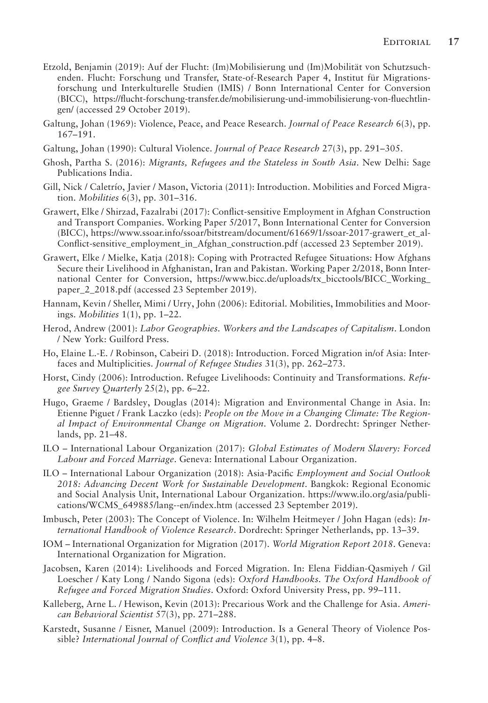- Etzold, Benjamin (2019): Auf der Flucht: (Im)Mobilisierung und (Im)Mobilität von Schutzsuchenden. Flucht: Forschung und Transfer, State-of-Research Paper 4, Institut für Migrationsforschung und Interkulturelle Studien (IMIS) / Bonn International Center for Conversion (BICC), https://flucht-forschung-transfer.de/mobilisierung-und-immobilisierung-von-fluechtlingen/ (accessed 29 October 2019).
- Galtung, Johan (1969): Violence, Peace, and Peace Research. *Journal of Peace Research* 6(3), pp. 167–191.
- Galtung, Johan (1990): Cultural Violence. *Journal of Peace Research* 27(3), pp. 291–305.
- Ghosh, Partha S. (2016): *Migrants, Refugees and the Stateless in South Asia*. New Delhi: Sage Publications India.
- Gill, Nick / Caletrío, Javier / Mason, Victoria (2011): Introduction. Mobilities and Forced Migration. *Mobilities* 6(3), pp. 301–316.
- Grawert, Elke / Shirzad, Fazalrabi (2017): Conflict-sensitive Employment in Afghan Construction and Transport Companies. Working Paper 5/2017, Bonn International Center for Conversion (BICC), https://www.ssoar.info/ssoar/bitstream/document/61669/1/ssoar-2017-grawert\_et\_al-Conflict-sensitive\_employment\_in\_Afghan\_construction.pdf (accessed 23 September 2019).
- Grawert, Elke / Mielke, Katja (2018): Coping with Protracted Refugee Situations: How Afghans Secure their Livelihood in Afghanistan, Iran and Pakistan. Working Paper 2/2018, Bonn International Center for Conversion, https://www.bicc.de/uploads/tx\_bicctools/BICC\_Working\_ paper\_2\_2018.pdf (accessed 23 September 2019).
- Hannam, Kevin / Sheller, Mimi / Urry, John (2006): Editorial. Mobilities, Immobilities and Moorings. *Mobilities* 1(1), pp. 1–22.
- Herod, Andrew (2001): *Labor Geographies. Workers and the Landscapes of Capitalism*. London / New York: Guilford Press.
- Ho, Elaine L.-E. / Robinson, Cabeiri D. (2018): Introduction. Forced Migration in/of Asia: Interfaces and Multiplicities. *Journal of Refugee Studies* 31(3), pp. 262–273.
- Horst, Cindy (2006): Introduction. Refugee Livelihoods: Continuity and Transformations. *Refugee Survey Quarterly* 25(2), pp. 6–22.
- Hugo, Graeme / Bardsley, Douglas (2014): Migration and Environmental Change in Asia. In: Etienne Piguet / Frank Laczko (eds): *People on the Move in a Changing Climate: The Regional Impact of Environmental Change on Migration*. Volume 2. Dordrecht: Springer Netherlands, pp. 21–48.
- ILO International Labour Organization (2017): *Global Estimates of Modern Slavery: Forced Labour and Forced Marriage*. Geneva: International Labour Organization.
- ILO International Labour Organization (2018): Asia-Pacific *Employment and Social Outlook 2018: Advancing Decent Work for Sustainable Development*. Bangkok: Regional Economic and Social Analysis Unit, International Labour Organization. https://www.ilo.org/asia/publications/WCMS\_649885/lang--en/index.htm (accessed 23 September 2019).
- Imbusch, Peter (2003): The Concept of Violence. In: Wilhelm Heitmeyer / John Hagan (eds): *International Handbook of Violence Research*. Dordrecht: Springer Netherlands, pp. 13–39.
- IOM International Organization for Migration (2017). *World Migration Report 2018*. Geneva: International Organization for Migration.
- Jacobsen, Karen (2014): Livelihoods and Forced Migration. In: Elena Fiddian-Qasmiyeh / Gil Loescher / Katy Long / Nando Sigona (eds): *Oxford Handbooks. The Oxford Handbook of Refugee and Forced Migration Studies*. Oxford: Oxford University Press, pp. 99–111.
- Kalleberg, Arne L. / Hewison, Kevin (2013): Precarious Work and the Challenge for Asia. *American Behavioral Scientist* 57(3), pp. 271–288.
- Karstedt, Susanne / Eisner, Manuel (2009): Introduction. Is a General Theory of Violence Possible? *International Journal of Conflict and Violence* 3(1), pp. 4–8.